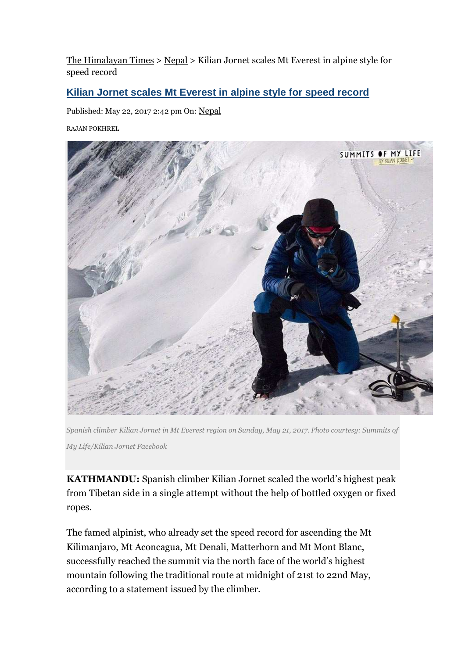The Himalayan Times > Nepal > Kilian Jornet scales Mt Everest in alpine style for speed record

### **Kilian Jornet scales Mt Everest in alpine style for speed record**

Published: May 22, 2017 2:42 pm On: Nepal

RAJAN POKHREL



*Spanish climber Kilian Jornet in Mt Everest region on Sunday, May 21, 2017. Photo courtesy: Summits of My Life/Kilian Jornet Facebook* 

**KATHMANDU:** Spanish climber Kilian Jornet scaled the world's highest peak from Tibetan side in a single attempt without the help of bottled oxygen or fixed ropes.

The famed alpinist, who already set the speed record for ascending the Mt Kilimanjaro, Mt Aconcagua, Mt Denali, Matterhorn and Mt Mont Blanc, successfully reached the summit via the north face of the world's highest mountain following the traditional route at midnight of 21st to 22nd May, according to a statement issued by the climber.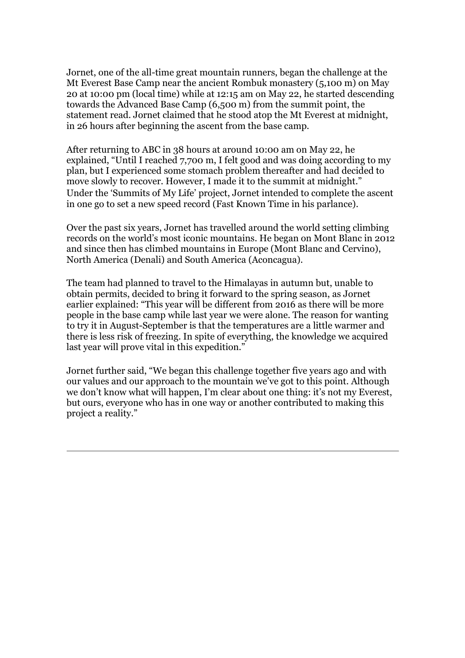Jornet, one of the all-time great mountain runners, began the challenge at the Mt Everest Base Camp near the ancient Rombuk monastery (5,100 m) on May 20 at 10:00 pm (local time) while at 12:15 am on May 22, he started descending towards the Advanced Base Camp (6,500 m) from the summit point, the statement read. Jornet claimed that he stood atop the Mt Everest at midnight, in 26 hours after beginning the ascent from the base camp.

After returning to ABC in 38 hours at around 10:00 am on May 22, he explained, "Until I reached 7,700 m, I felt good and was doing according to my plan, but I experienced some stomach problem thereafter and had decided to move slowly to recover. However, I made it to the summit at midnight." Under the 'Summits of My Life' project, Jornet intended to complete the ascent in one go to set a new speed record (Fast Known Time in his parlance).

Over the past six years, Jornet has travelled around the world setting climbing records on the world's most iconic mountains. He began on Mont Blanc in 2012 and since then has climbed mountains in Europe (Mont Blanc and Cervino), North America (Denali) and South America (Aconcagua).

The team had planned to travel to the Himalayas in autumn but, unable to obtain permits, decided to bring it forward to the spring season, as Jornet earlier explained: "This year will be different from 2016 as there will be more people in the base camp while last year we were alone. The reason for wanting to try it in August-September is that the temperatures are a little warmer and there is less risk of freezing. In spite of everything, the knowledge we acquired last year will prove vital in this expedition."

Jornet further said, "We began this challenge together five years ago and with our values and our approach to the mountain we've got to this point. Although we don't know what will happen, I'm clear about one thing: it's not my Everest, but ours, everyone who has in one way or another contributed to making this project a reality."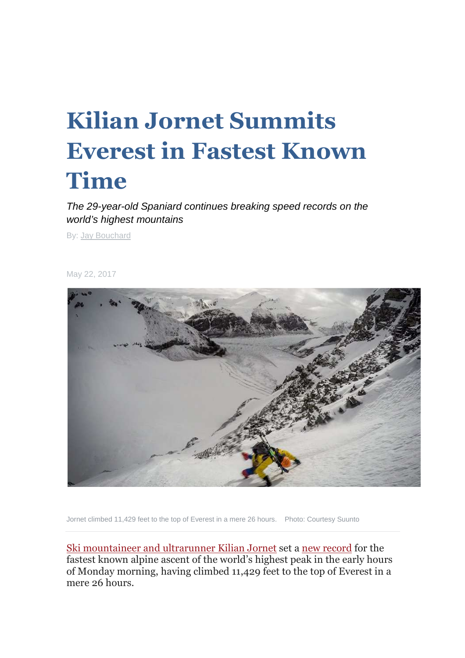# **Kilian Jornet Summits Everest in Fastest Known Time**

The 29-year-old Spaniard continues breaking speed records on the world's highest mountains

By: Jay Bouchard

May 22, 2017



Jornet climbed 11,429 feet to the top of Everest in a mere 26 hours. Photo: Courtesy Suunto

Ski mountaineer and ultrarunner Kilian Jornet set a new record for the fastest known alpine ascent of the world's highest peak in the early hours of Monday morning, having climbed 11,429 feet to the top of Everest in a mere 26 hours.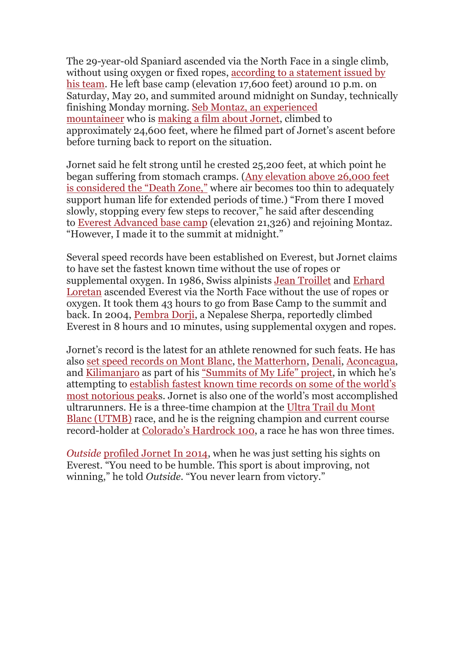The 29-year-old Spaniard ascended via the North Face in a single climb, without using oxygen or fixed ropes, according to a statement issued by his team. He left base camp (elevation 17,600 feet) around 10 p.m. on Saturday, May 20, and summited around midnight on Sunday, technically finishing Monday morning. Seb Montaz, an experienced mountaineer who is making a film about Jornet, climbed to approximately 24,600 feet, where he filmed part of Jornet's ascent before before turning back to report on the situation.

Jornet said he felt strong until he crested 25,200 feet, at which point he began suffering from stomach cramps. (Any elevation above 26,000 feet is considered the "Death Zone," where air becomes too thin to adequately support human life for extended periods of time.) "From there I moved slowly, stopping every few steps to recover," he said after descending to Everest Advanced base camp (elevation 21,326) and rejoining Montaz. "However, I made it to the summit at midnight."

Several speed records have been established on Everest, but Jornet claims to have set the fastest known time without the use of ropes or supplemental oxygen. In 1986, Swiss alpinists Jean Troillet and Erhard Loretan ascended Everest via the North Face without the use of ropes or oxygen. It took them 43 hours to go from Base Camp to the summit and back. In 2004, Pembra Dorji, a Nepalese Sherpa, reportedly climbed Everest in 8 hours and 10 minutes, using supplemental oxygen and ropes.

Jornet's record is the latest for an athlete renowned for such feats. He has also set speed records on Mont Blanc, the Matterhorn, Denali, Aconcagua, and Kilimanjaro as part of his "Summits of My Life" project, in which he's attempting to establish fastest known time records on some of the world's most notorious peaks. Jornet is also one of the world's most accomplished ultrarunners. He is a three-time champion at the Ultra Trail du Mont Blanc (UTMB) race, and he is the reigning champion and current course record-holder at Colorado's Hardrock 100, a race he has won three times.

*Outside* profiled Jornet In 2014, when he was just setting his sights on Everest. "You need to be humble. This sport is about improving, not winning," he told *Outside*. "You never learn from victory."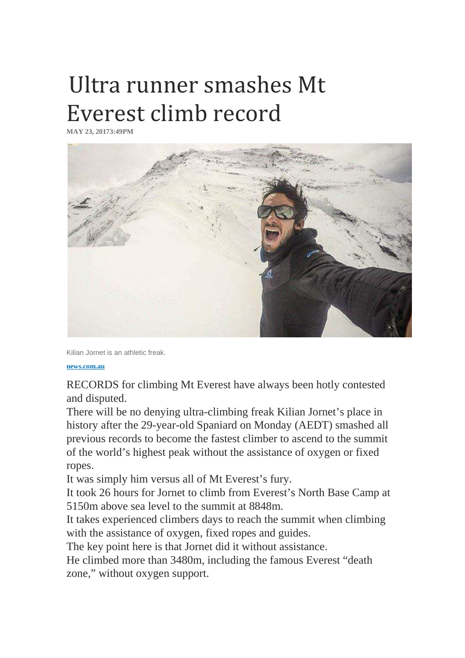## Ultra runner smashes Mt Everest climb record

**MAY 23, 20173:49PM** 



Kilian Jornet is an athletic freak.

**news.com.au**

RECORDS for climbing Mt Everest have always been hotly contested and disputed.

There will be no denying ultra-climbing freak Kilian Jornet's place in history after the 29-year-old Spaniard on Monday (AEDT) smashed all previous records to become the fastest climber to ascend to the summit of the world's highest peak without the assistance of oxygen or fixed ropes.

It was simply him versus all of Mt Everest's fury.

It took 26 hours for Jornet to climb from Everest's North Base Camp at 5150m above sea level to the summit at 8848m.

It takes experienced climbers days to reach the summit when climbing with the assistance of oxygen, fixed ropes and guides.

The key point here is that Jornet did it without assistance.

He climbed more than 3480m, including the famous Everest "death zone," without oxygen support.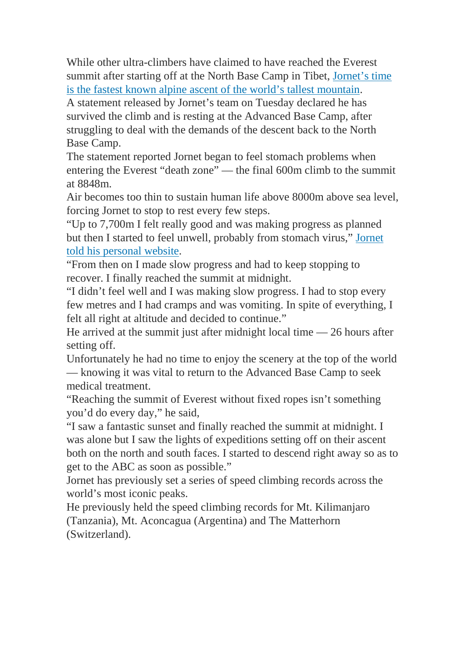While other ultra-climbers have claimed to have reached the Everest summit after starting off at the North Base Camp in Tibet, Jornet's time is the fastest known alpine ascent of the world's tallest mountain.

A statement released by Jornet's team on Tuesday declared he has survived the climb and is resting at the Advanced Base Camp, after struggling to deal with the demands of the descent back to the North Base Camp.

The statement reported Jornet began to feel stomach problems when entering the Everest "death zone" — the final 600m climb to the summit at 8848m.

Air becomes too thin to sustain human life above 8000m above sea level, forcing Jornet to stop to rest every few steps.

"Up to 7,700m I felt really good and was making progress as planned but then I started to feel unwell, probably from stomach virus," Jornet told his personal website.

"From then on I made slow progress and had to keep stopping to recover. I finally reached the summit at midnight.

"I didn't feel well and I was making slow progress. I had to stop every few metres and I had cramps and was vomiting. In spite of everything, I felt all right at altitude and decided to continue."

He arrived at the summit just after midnight local time — 26 hours after setting off.

Unfortunately he had no time to enjoy the scenery at the top of the world — knowing it was vital to return to the Advanced Base Camp to seek medical treatment.

"Reaching the summit of Everest without fixed ropes isn't something you'd do every day," he said,

"I saw a fantastic sunset and finally reached the summit at midnight. I was alone but I saw the lights of expeditions setting off on their ascent both on the north and south faces. I started to descend right away so as to get to the ABC as soon as possible."

Jornet has previously set a series of speed climbing records across the world's most iconic peaks.

He previously held the speed climbing records for Mt. Kilimanjaro (Tanzania), Mt. Aconcagua (Argentina) and The Matterhorn (Switzerland).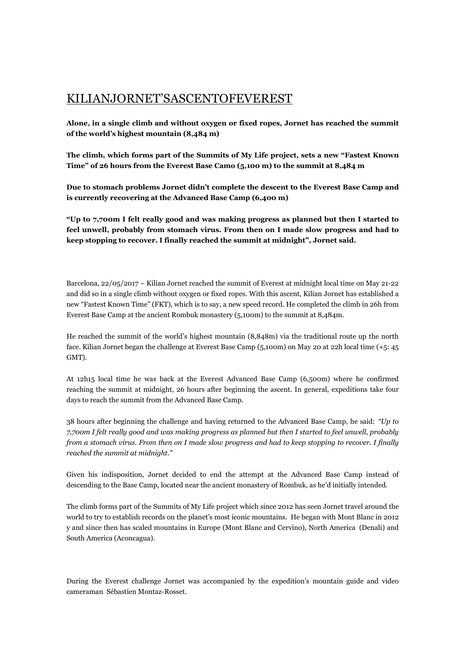### KILIANJORNET'SASCENTOFEVEREST

**Alone, in a single climb and without oxygen or fixed ropes, Jornet has reached the summit of the world's highest mountain (8,484 m)**

**The climb, which forms part of the Summits of My Life project, sets a new "Fastest Known Time" of 26 hours from the Everest Base Camo (5,100 m) to the summit at 8,484 m**

**Due to stomach problems Jornet didn't complete the descent to the Everest Base Camp and is currently recovering at the Advanced Base Camp (6,400 m)**

**"Up to 7,700m I felt really good and was making progress as planned but then I started to feel unwell, probably from stomach virus. From then on I made slow progress and had to keep stopping to recover. I finally reached the summit at midnight", Jornet said.**

Barcelona, 22/05/2017 – Kilian Jornet reached the summit of Everest at midnight local time on May 21-22 and did so in a single climb without oxygen or fixed ropes. With this ascent, Kilian Jornet has established a new "Fastest Known Time" (FKT), which is to say, a new speed record. He completed the climb in 26h from Everest Base Camp at the ancient Rombuk monastery (5,100m) to the summit at 8,484m.

He reached the summit of the world's highest mountain (8,848m) via the traditional route up the north face. Kilian Jornet began the challenge at Everest Base Camp (5,100m) on May 20 at 22h local time (+5: 45 GMT).

At 12h15 local time he was back at the Everest Advanced Base Camp (6,500m) where he confirmed reaching the summit at midnight, 26 hours after beginning the ascent. In general, expeditions take four days to reach the summit from the Advanced Base Camp.

38 hours after beginning the challenge and having returned to the Advanced Base Camp, he said: *"Up to 7,700m I felt really good and was making progress as planned but then I started to feel unwell, probably from a stomach virus. From then on I made slow progress and had to keep stopping to recover. I finally reached the summit at midnight."* 

Given his indisposition, Jornet decided to end the attempt at the Advanced Base Camp instead of descending to the Base Camp, located near the ancient monastery of Rombuk, as he'd initially intended.

The climb forms part of the Summits of My Life project which since 2012 has seen Jornet travel around the world to try to establish records on the planet's most iconic mountains. He began with Mont Blanc in 2012 y and since then has scaled mountains in Europe (Mont Blanc and Cervino), North America (Denali) and South America (Aconcagua).

During the Everest challenge Jornet was accompanied by the expedition's mountain guide and video cameraman Sébastien Montaz-Rosset.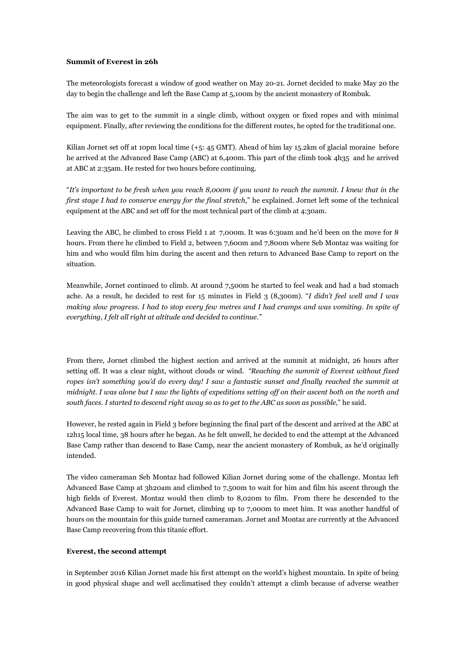#### **Summit of Everest in 26h**

The meteorologists forecast a window of good weather on May 20-21. Jornet decided to make May 20 the day to begin the challenge and left the Base Camp at 5,100m by the ancient monastery of Rombuk.

The aim was to get to the summit in a single climb, without oxygen or fixed ropes and with minimal equipment. Finally, after reviewing the conditions for the different routes, he opted for the traditional one.

Kilian Jornet set off at 10pm local time (+5: 45 GMT). Ahead of him lay 15.2km of glacial moraine before he arrived at the Advanced Base Camp (ABC) at 6,400m. This part of the climb took 4h35 and he arrived at ABC at 2:35am. He rested for two hours before continuing.

"*It's important to be fresh when you reach 8,000m if you want to reach the summit. I knew that in the first stage I had to conserve energy for the final stretch,*" he explained. Jornet left some of the technical equipment at the ABC and set off for the most technical part of the climb at 4:30am.

Leaving the ABC, he climbed to cross Field 1 at 7,000m. It was 6:30am and he'd been on the move for 8 hours. From there he climbed to Field 2, between 7,600m and 7,800m where Seb Montaz was waiting for him and who would film him during the ascent and then return to Advanced Base Camp to report on the situation.

Meanwhile, Jornet continued to climb. At around 7,500m he started to feel weak and had a bad stomach ache. As a result, he decided to rest for 15 minutes in Field 3 (8,300m). "*I didn't feel well and I was making slow progress. I had to stop every few metres and I had cramps and was vomiting. In spite of everything, I felt all right at altitude and decided to continue."*

From there, Jornet climbed the highest section and arrived at the summit at midnight, 26 hours after setting off. It was a clear night, without clouds or wind. *"Reaching the summit of Everest without fixed ropes isn't something you'd do every day! I saw a fantastic sunset and finally reached the summit at midnight. I was alone but I saw the lights of expeditions setting off on their ascent both on the north and south faces. I started to descend right away so as to get to the ABC as soon as possible,*" he said.

However, he rested again in Field 3 before beginning the final part of the descent and arrived at the ABC at 12h15 local time, 38 hours after he began. As he felt unwell, he decided to end the attempt at the Advanced Base Camp rather than descend to Base Camp, near the ancient monastery of Rombuk, as he'd originally intended.

The video cameraman Seb Montaz had followed Kilian Jornet during some of the challenge. Montaz left Advanced Base Camp at 3h20am and climbed to 7,500m to wait for him and film his ascent through the high fields of Everest. Montaz would then climb to 8,020m to film. From there he descended to the Advanced Base Camp to wait for Jornet, climbing up to 7,000m to meet him. It was another handful of hours on the mountain for this guide turned cameraman. Jornet and Montaz are currently at the Advanced Base Camp recovering from this titanic effort.

#### **Everest, the second attempt**

in September 2016 Kilian Jornet made his first attempt on the world's highest mountain. In spite of being in good physical shape and well acclimatised they couldn't attempt a climb because of adverse weather